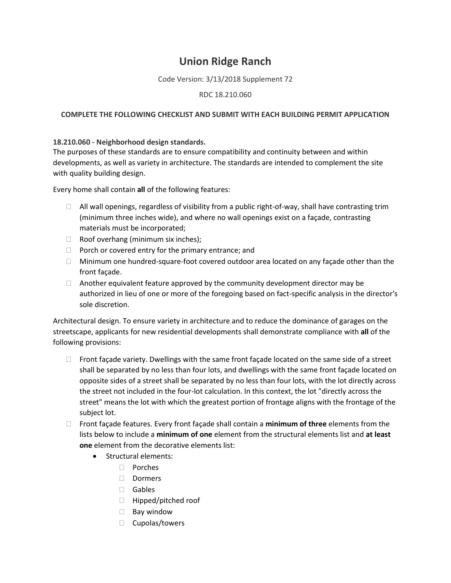## **Union Ridge Ranch**

Code Version: 3/13/2018 Supplement 72

## RDC 18.210.060

## **COMPLETE THE FOLLOWING CHECKLIST AND SUBMIT WITH EACH BUILDING PERMIT APPLICATION**

## **18.210.060 - Neighborhood design standards.**

The purposes of these standards are to ensure compatibility and continuity between and within developments, as well as variety in architecture. The standards are intended to complement the site with quality building design.

Every home shall contain **all** of the following features:

- $\Box$  All wall openings, regardless of visibility from a public right-of-way, shall have contrasting trim (minimum three inches wide), and where no wall openings exist on a façade, contrasting materials must be incorporated;
- $\Box$  Roof overhang (minimum six inches);
- $\Box$  Porch or covered entry for the primary entrance; and
- $\Box$  Minimum one hundred-square-foot covered outdoor area located on any façade other than the front façade.
- $\Box$  Another equivalent feature approved by the community development director may be authorized in lieu of one or more of the foregoing based on fact-specific analysis in the director's sole discretion.

Architectural design. To ensure variety in architecture and to reduce the dominance of garages on the streetscape, applicants for new residential developments shall demonstrate compliance with **all** of the following provisions:

- $\Box$  Front façade variety. Dwellings with the same front façade located on the same side of a street shall be separated by no less than four lots, and dwellings with the same front façade located on opposite sides of a street shall be separated by no less than four lots, with the lot directly across the street not included in the four-lot calculation. In this context, the lot "directly across the street" means the lot with which the greatest portion of frontage aligns with the frontage of the subject lot.
- Front façade features. Every front façade shall contain a **minimum of three** elements from the lists below to include a **minimum of one** element from the structural elements list and **at least one** element from the decorative elements list:
	- Structural elements:
		- Porches
		- □ Dormers
		- Gables
		- □ Hipped/pitched roof
		- $\Box$  Bay window
		- $\Box$  Cupolas/towers